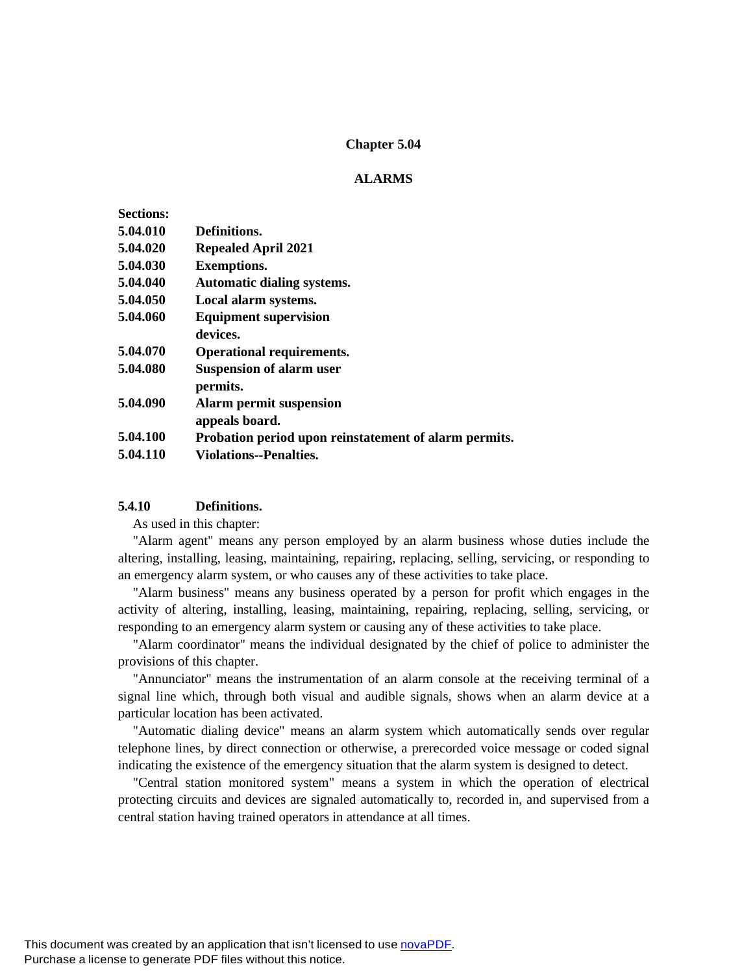### **Chapter 5.04**

### **ALARMS**

| <b>Sections:</b> |                                                       |
|------------------|-------------------------------------------------------|
| 5.04.010         | Definitions.                                          |
| 5.04.020         | <b>Repealed April 2021</b>                            |
| 5.04.030         | <b>Exemptions.</b>                                    |
| 5.04.040         | <b>Automatic dialing systems.</b>                     |
| 5.04.050         | Local alarm systems.                                  |
| 5.04.060         | <b>Equipment supervision</b>                          |
|                  | devices.                                              |
| 5.04.070         | <b>Operational requirements.</b>                      |
| 5.04.080         | <b>Suspension of alarm user</b>                       |
|                  | permits.                                              |
| 5.04.090         | <b>Alarm permit suspension</b>                        |
|                  | appeals board.                                        |
| 5.04.100         | Probation period upon reinstatement of alarm permits. |
| 5.04.110         | Violations--Penalties.                                |
|                  |                                                       |

### **5.4.10 Definitions.**

As used in this chapter:

"Alarm agent" means any person employed by an alarm business whose duties include the altering, installing, leasing, maintaining, repairing, replacing, selling, servicing, or responding to an emergency alarm system, or who causes any of these activities to take place.

"Alarm business" means any business operated by a person for profit which engages in the activity of altering, installing, leasing, maintaining, repairing, replacing, selling, servicing, or responding to an emergency alarm system or causing any of these activities to take place.

"Alarm coordinator" means the individual designated by the chief of police to administer the provisions of this chapter.

"Annunciator" means the instrumentation of an alarm console at the receiving terminal of a signal line which, through both visual and audible signals, shows when an alarm device at a particular location has been activated.

"Automatic dialing device" means an alarm system which automatically sends over regular telephone lines, by direct connection or otherwise, a prerecorded voice message or coded signal indicating the existence of the emergency situation that the alarm system is designed to detect.

"Central station monitored system" means a system in which the operation of electrical protecting circuits and devices are signaled automatically to, recorded in, and supervised from a central station having trained operators in attendance at all times.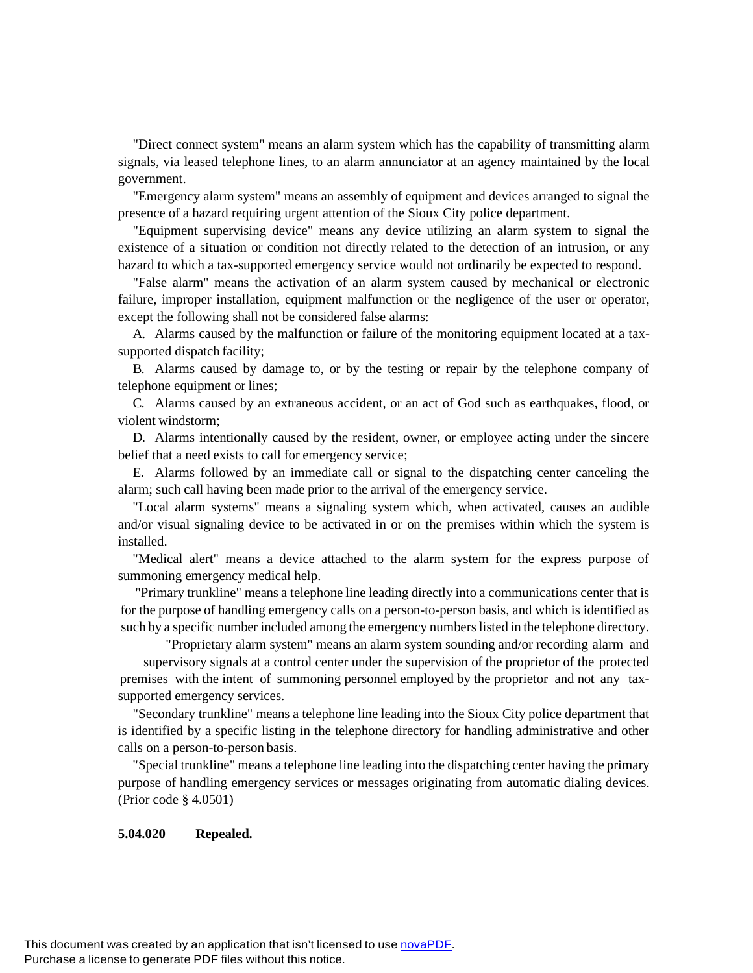"Direct connect system" means an alarm system which has the capability of transmitting alarm signals, via leased telephone lines, to an alarm annunciator at an agency maintained by the local government.

"Emergency alarm system" means an assembly of equipment and devices arranged to signal the presence of a hazard requiring urgent attention of the Sioux City police department.

"Equipment supervising device" means any device utilizing an alarm system to signal the existence of a situation or condition not directly related to the detection of an intrusion, or any hazard to which a tax-supported emergency service would not ordinarily be expected to respond.

"False alarm" means the activation of an alarm system caused by mechanical or electronic failure, improper installation, equipment malfunction or the negligence of the user or operator, except the following shall not be considered false alarms:

A. Alarms caused by the malfunction or failure of the monitoring equipment located at a taxsupported dispatch facility;

B. Alarms caused by damage to, or by the testing or repair by the telephone company of telephone equipment or lines;

C. Alarms caused by an extraneous accident, or an act of God such as earthquakes, flood, or violent windstorm;

D. Alarms intentionally caused by the resident, owner, or employee acting under the sincere belief that a need exists to call for emergency service;

E. Alarms followed by an immediate call or signal to the dispatching center canceling the alarm; such call having been made prior to the arrival of the emergency service.

"Local alarm systems" means a signaling system which, when activated, causes an audible and/or visual signaling device to be activated in or on the premises within which the system is installed.

"Medical alert" means a device attached to the alarm system for the express purpose of summoning emergency medical help.

"Primary trunkline" means a telephone line leading directly into a communications center that is for the purpose of handling emergency calls on a person-to-person basis, and which is identified as such by a specific number included among the emergency numbers listed in the telephone directory.

"Proprietary alarm system" means an alarm system sounding and/or recording alarm and supervisory signals at a control center under the supervision of the proprietor of the protected premises with the intent of summoning personnel employed by the proprietor and not any taxsupported emergency services.

"Secondary trunkline" means a telephone line leading into the Sioux City police department that is identified by a specific listing in the telephone directory for handling administrative and other calls on a person-to-person basis.

"Special trunkline" means a telephone line leading into the dispatching center having the primary purpose of handling emergency services or messages originating from automatic dialing devices. (Prior code § 4.0501)

#### **5.04.020 Repealed.**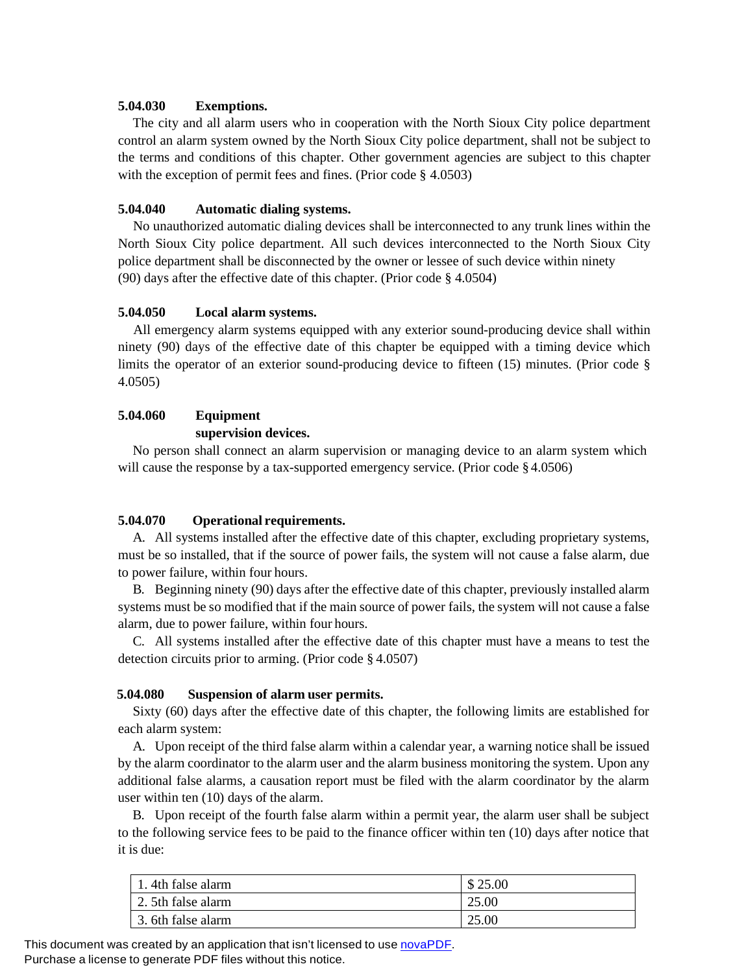### **5.04.030 Exemptions.**

The city and all alarm users who in cooperation with the North Sioux City police department control an alarm system owned by the North Sioux City police department, shall not be subject to the terms and conditions of this chapter. Other government agencies are subject to this chapter with the exception of permit fees and fines. (Prior code § 4.0503)

### **5.04.040 Automatic dialing systems.**

No unauthorized automatic dialing devices shall be interconnected to any trunk lines within the North Sioux City police department. All such devices interconnected to the North Sioux City police department shall be disconnected by the owner or lessee of such device within ninety (90) days after the effective date of this chapter. (Prior code § 4.0504)

### **5.04.050 Local alarm systems.**

All emergency alarm systems equipped with any exterior sound-producing device shall within ninety (90) days of the effective date of this chapter be equipped with a timing device which limits the operator of an exterior sound-producing device to fifteen (15) minutes. (Prior code § 4.0505)

# **5.04.060 Equipment**

## **supervision devices.**

No person shall connect an alarm supervision or managing device to an alarm system which will cause the response by a tax-supported emergency service. (Prior code  $§ 4.0506$ )

## **5.04.070 Operational requirements.**

A. All systems installed after the effective date of this chapter, excluding proprietary systems, must be so installed, that if the source of power fails, the system will not cause a false alarm, due to power failure, within four hours.

B. Beginning ninety (90) days after the effective date of this chapter, previously installed alarm systems must be so modified that if the main source of power fails, the system will not cause a false alarm, due to power failure, within four hours.

C. All systems installed after the effective date of this chapter must have a means to test the detection circuits prior to arming. (Prior code § 4.0507)

### **5.04.080 Suspension of alarm user permits.**

Sixty (60) days after the effective date of this chapter, the following limits are established for each alarm system:

A. Upon receipt of the third false alarm within a calendar year, a warning notice shall be issued by the alarm coordinator to the alarm user and the alarm business monitoring the system. Upon any additional false alarms, a causation report must be filed with the alarm coordinator by the alarm user within ten (10) days of the alarm.

B. Upon receipt of the fourth false alarm within a permit year, the alarm user shall be subject to the following service fees to be paid to the finance officer within ten (10) days after notice that it is due:

| . 4th false alarm  | \$25.00 |
|--------------------|---------|
| 2. 5th false alarm | 25.00   |
| 3. 6th false alarm | 25.00   |

This document was created by an application that isn't licensed to use [novaPDF.](http://www.novapdf.com/) Purchase a license to generate PDF files without this notice.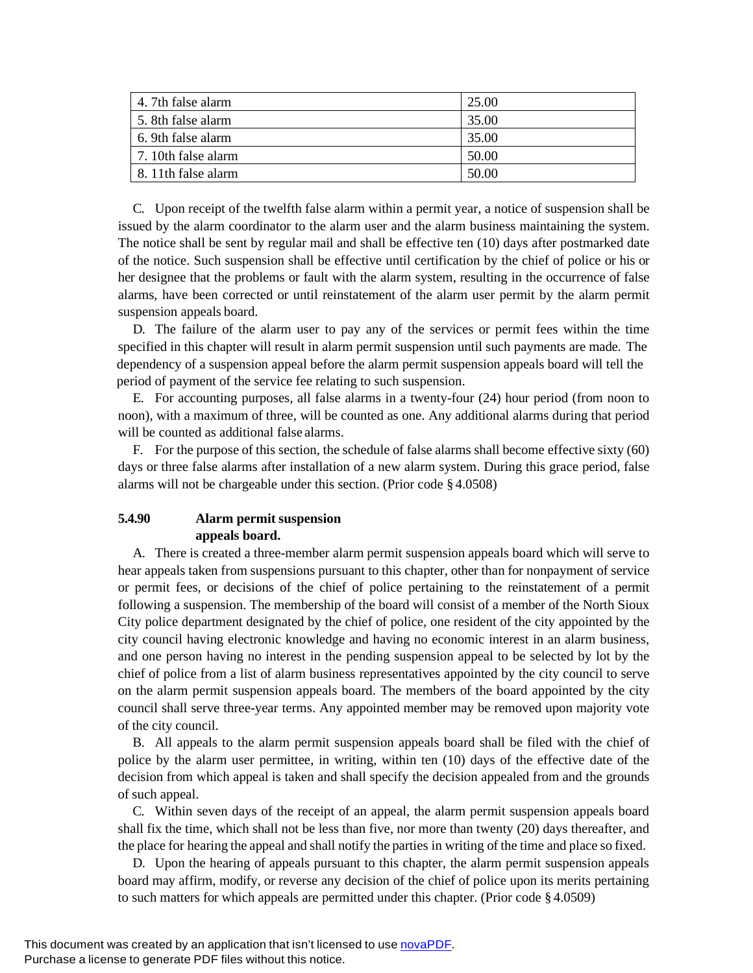| 4. 7th false alarm   | 25.00 |
|----------------------|-------|
| 5. 8th false alarm   | 35.00 |
| 6. 9th false alarm   | 35.00 |
| 7. 10th false alarm  | 50.00 |
| 1.8.11th false alarm | 50.00 |

C. Upon receipt of the twelfth false alarm within a permit year, a notice of suspension shall be issued by the alarm coordinator to the alarm user and the alarm business maintaining the system. The notice shall be sent by regular mail and shall be effective ten (10) days after postmarked date of the notice. Such suspension shall be effective until certification by the chief of police or his or her designee that the problems or fault with the alarm system, resulting in the occurrence of false alarms, have been corrected or until reinstatement of the alarm user permit by the alarm permit suspension appeals board.

D. The failure of the alarm user to pay any of the services or permit fees within the time specified in this chapter will result in alarm permit suspension until such payments are made. The dependency of a suspension appeal before the alarm permit suspension appeals board will tell the period of payment of the service fee relating to such suspension.

E. For accounting purposes, all false alarms in a twenty-four (24) hour period (from noon to noon), with a maximum of three, will be counted as one. Any additional alarms during that period will be counted as additional false alarms.

F. For the purpose of this section, the schedule of false alarms shall become effective sixty (60) days or three false alarms after installation of a new alarm system. During this grace period, false alarms will not be chargeable under this section. (Prior code § 4.0508)

## **5.4.90 Alarm permit suspension appeals board.**

A. There is created a three-member alarm permit suspension appeals board which will serve to hear appeals taken from suspensions pursuant to this chapter, other than for nonpayment of service or permit fees, or decisions of the chief of police pertaining to the reinstatement of a permit following a suspension. The membership of the board will consist of a member of the North Sioux City police department designated by the chief of police, one resident of the city appointed by the city council having electronic knowledge and having no economic interest in an alarm business, and one person having no interest in the pending suspension appeal to be selected by lot by the chief of police from a list of alarm business representatives appointed by the city council to serve on the alarm permit suspension appeals board. The members of the board appointed by the city council shall serve three-year terms. Any appointed member may be removed upon majority vote of the city council.

B. All appeals to the alarm permit suspension appeals board shall be filed with the chief of police by the alarm user permittee, in writing, within ten (10) days of the effective date of the decision from which appeal is taken and shall specify the decision appealed from and the grounds of such appeal.

C. Within seven days of the receipt of an appeal, the alarm permit suspension appeals board shall fix the time, which shall not be less than five, nor more than twenty (20) days thereafter, and the place for hearing the appeal and shall notify the parties in writing of the time and place so fixed.

D. Upon the hearing of appeals pursuant to this chapter, the alarm permit suspension appeals board may affirm, modify, or reverse any decision of the chief of police upon its merits pertaining to such matters for which appeals are permitted under this chapter. (Prior code § 4.0509)